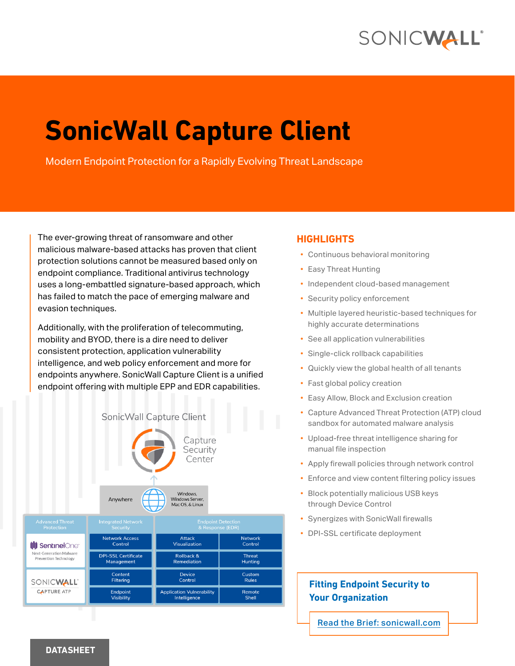## SONICWALL®

# **SonicWall Capture Client**

Modern Endpoint Protection for a Rapidly Evolving Threat Landscape

The ever-growing threat of ransomware and other malicious malware-based attacks has proven that client protection solutions cannot be measured based only on endpoint compliance. Traditional antivirus technology uses a long-embattled signature-based approach, which has failed to match the pace of emerging malware and evasion techniques.

Additionally, with the proliferation of telecommuting, mobility and BYOD, there is a dire need to deliver consistent protection, application vulnerability intelligence, and web policy enforcement and more for endpoints anywhere. SonicWall Capture Client is a unified endpoint offering with multiple EPP and EDR capabilities.





| Auvanceu Thieat<br><b>Protection</b>                                        | <b>INCORREG INCLIVIOUR</b><br>Security   | <b>ENQUANTE DETECTION</b><br>& Response (EDR)    |                                 |
|-----------------------------------------------------------------------------|------------------------------------------|--------------------------------------------------|---------------------------------|
| <b>III</b> SentinelOnet<br>Next-Generation Malware<br>Prevention Technology | <b>Network Access</b><br>Control         | <b>Attack</b><br>Visualization                   | <b>Network</b><br>Control       |
|                                                                             | <b>DPI-SSL Certificate</b><br>Management | Rollback &<br><b>Remediation</b>                 | <b>Threat</b><br><b>Hunting</b> |
| SONICWALL'<br><b>CAPTURE ATP</b>                                            | Content<br><b>Filtering</b>              | <b>Device</b><br>Control                         | Custom<br><b>Rules</b>          |
|                                                                             | <b>Endpoint</b><br><b>Visibility</b>     | <b>Application Vulnerability</b><br>Intelligence | Remote<br>Shell                 |

#### **HIGHLIGHTS**

- Continuous behavioral monitoring
- Easy Threat Hunting
- Independent cloud-based management
- Security policy enforcement
- Multiple layered heuristic-based techniques for highly accurate determinations
- See all application vulnerabilities
- Single-click rollback capabilities
- Quickly view the global health of all tenants
- Fast global policy creation
- Easy Allow, Block and Exclusion creation
- Capture Advanced Threat Protection (ATP) cloud sandbox for automated malware analysis
- Upload-free threat intelligence sharing for manual file inspection
- Apply firewall policies through network control
- Enforce and view content filtering policy issues
- Block potentially malicious USB keys through Device Control
- Synergizes with SonicWall firewalls
- DPI-SSL certificate deployment

#### **Fitting Endpoint Security to Your Organization**

[Read the Brief: sonicwall.com](https://www.sonicwall.com/resources/brief/solution-brief-fitting-endpoint-security-to-your-organization/)

#### **DATASHEET**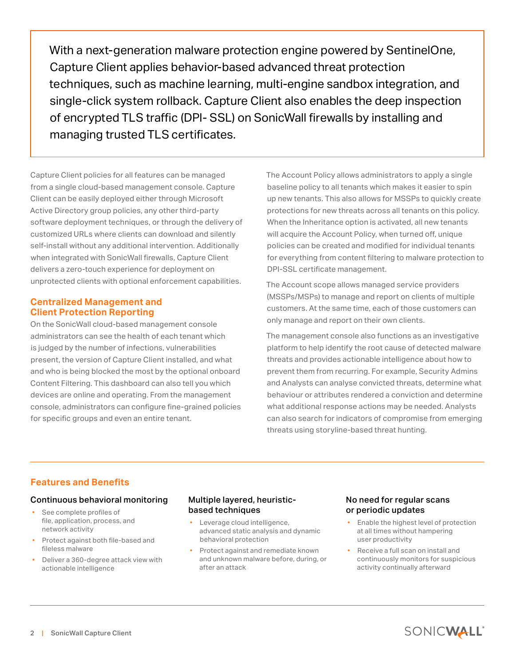With a next-generation malware protection engine powered by SentinelOne, Capture Client applies behavior-based advanced threat protection techniques, such as machine learning, multi-engine sandbox integration, and single-click system rollback. Capture Client also enables the deep inspection of encrypted TLS traffic (DPI- SSL) on SonicWall firewalls by installing and managing trusted TLS certificates.

Capture Client policies for all features can be managed from a single cloud-based management console. Capture Client can be easily deployed either through Microsoft Active Directory group policies, any other third-party software deployment techniques, or through the delivery of customized URLs where clients can download and silently self-install without any additional intervention. Additionally when integrated with SonicWall firewalls, Capture Client delivers a zero-touch experience for deployment on unprotected clients with optional enforcement capabilities.

#### **Centralized Management and Client Protection Reporting**

On the SonicWall cloud-based management console administrators can see the health of each tenant which is judged by the number of infections, vulnerabilities present, the version of Capture Client installed, and what and who is being blocked the most by the optional onboard Content Filtering. This dashboard can also tell you which devices are online and operating. From the management console, administrators can configure fine-grained policies for specific groups and even an entire tenant.

The Account Policy allows administrators to apply a single baseline policy to all tenants which makes it easier to spin up new tenants. This also allows for MSSPs to quickly create protections for new threats across all tenants on this policy. When the Inheritance option is activated, all new tenants will acquire the Account Policy, when turned off, unique policies can be created and modified for individual tenants for everything from content filtering to malware protection to DPI-SSL certificate management.

The Account scope allows managed service providers (MSSPs/MSPs) to manage and report on clients of multiple customers. At the same time, each of those customers can only manage and report on their own clients.

The management console also functions as an investigative platform to help identify the root cause of detected malware threats and provides actionable intelligence about how to prevent them from recurring. For example, Security Admins and Analysts can analyse convicted threats, determine what behaviour or attributes rendered a conviction and determine what additional response actions may be needed. Analysts can also search for indicators of compromise from emerging threats using storyline-based threat hunting.

#### **Features and Benefits**

#### Continuous behavioral monitoring

- See complete profiles of file, application, process, and network activity
- Protect against both file-based and fileless malware
- Deliver a 360-degree attack view with actionable intelligence

#### Multiple layered, heuristicbased techniques

- Leverage cloud intelligence, advanced static analysis and dynamic behavioral protection
- Protect against and remediate known and unknown malware before, during, or after an attack

#### No need for regular scans or periodic updates

- Enable the highest level of protection at all times without hampering user productivity
- Receive a full scan on install and continuously monitors for suspicious activity continually afterward

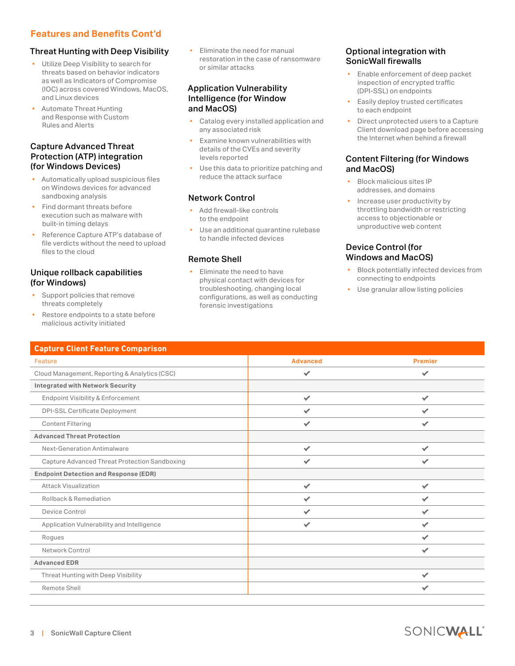#### **Features and Benefits Cont'd**

#### Threat Hunting with Deep Visibility

- Utilize Deep Visibility to search for threats based on behavior indicators as well as Indicators of Compromise (IOC) across covered Windows, MacOS, and Linux devices
- Automate Threat Hunting and Response with Custom Rules and Alerts

#### Capture Advanced Threat Protection (ATP) integration (for Windows Devices)

- Automatically upload suspicious files on Windows devices for advanced sandboxing analysis
- Find dormant threats before execution such as malware with built-in timing delays
- Reference Capture ATP's database of file verdicts without the need to upload files to the cloud

#### Unique rollback capabilities (for Windows)

- Support policies that remove threats completely
- Restore endpoints to a state before malicious activity initiated

• Eliminate the need for manual restoration in the case of ransomware or similar attacks

#### Application Vulnerability Intelligence (for Window and MacOS)

- Catalog every installed application and any associated risk
- Examine known vulnerabilities with details of the CVEs and severity levels reported
- Use this data to prioritize patching and reduce the attack surface

#### Network Control

- Add firewall-like controls to the endpoint
- Use an additional quarantine rulebase to handle infected devices

#### Remote Shell

• Eliminate the need to have physical contact with devices for troubleshooting, changing local configurations, as well as conducting forensic investigations

#### Optional integration with SonicWall firewalls

- Enable enforcement of deep packet inspection of encrypted traffic (DPI-SSL) on endpoints
- Easily deploy trusted certificates to each endpoint
- Direct unprotected users to a Capture Client download page before accessing the Internet when behind a firewall

#### Content Filtering (for Windows and MacOS)

- Block malicious sites IP addresses, and domains
- Increase user productivity by throttling bandwidth or restricting access to objectionable or unproductive web content

#### Device Control (for Windows and MacOS)

- Block potentially infected devices from connecting to endpoints
- Use granular allow listing policies

| <b>Capture Client Feature Comparison</b>      |                 |                |  |  |
|-----------------------------------------------|-----------------|----------------|--|--|
| Feature                                       | <b>Advanced</b> | <b>Premier</b> |  |  |
| Cloud Management, Reporting & Analytics (CSC) | $\checkmark$    | $\checkmark$   |  |  |
| <b>Integrated with Network Security</b>       |                 |                |  |  |
| <b>Endpoint Visibility &amp; Enforcement</b>  | $\checkmark$    | $\checkmark$   |  |  |
| <b>DPI-SSL Certificate Deployment</b>         | $\checkmark$    | $\checkmark$   |  |  |
| <b>Content Filtering</b>                      | $\checkmark$    | $\checkmark$   |  |  |
| <b>Advanced Threat Protection</b>             |                 |                |  |  |
| <b>Next-Generation Antimalware</b>            | ✓               | ✓              |  |  |
| Capture Advanced Threat Protection Sandboxing | $\checkmark$    | $\checkmark$   |  |  |
| <b>Endpoint Detection and Response (EDR)</b>  |                 |                |  |  |
| <b>Attack Visualization</b>                   | $\checkmark$    | $\checkmark$   |  |  |
| Rollback & Remediation                        | $\checkmark$    | ✓              |  |  |
| Device Control                                | $\checkmark$    | $\checkmark$   |  |  |
| Application Vulnerability and Intelligence    | $\checkmark$    | $\checkmark$   |  |  |
| Rogues                                        |                 | $\checkmark$   |  |  |
| Network Control                               |                 | $\checkmark$   |  |  |
| <b>Advanced EDR</b>                           |                 |                |  |  |
| Threat Hunting with Deep Visibility           |                 | ✓              |  |  |
| Remote Shell                                  |                 | ✓              |  |  |
|                                               |                 |                |  |  |